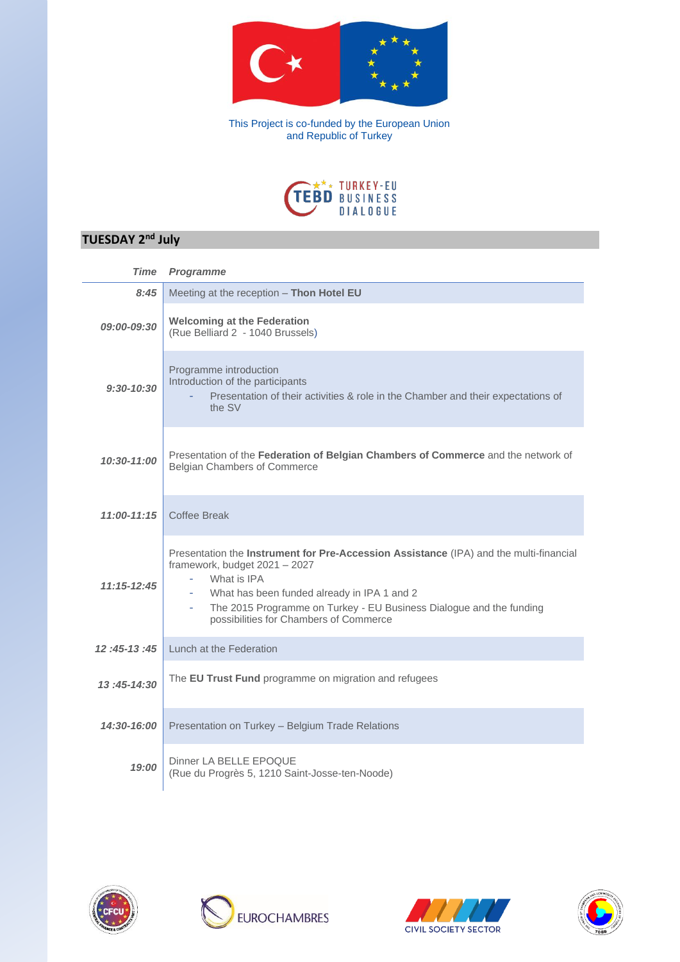

This Project is co-funded by the European Union and Republic of Turkey



## **TUESDAY 2nd July**

| <b>Time</b>        | <b>Programme</b>                                                                                                                                                                                                                                                                                       |
|--------------------|--------------------------------------------------------------------------------------------------------------------------------------------------------------------------------------------------------------------------------------------------------------------------------------------------------|
| 8:45               | Meeting at the reception - Thon Hotel EU                                                                                                                                                                                                                                                               |
| <i>09:00-09:30</i> | <b>Welcoming at the Federation</b><br>(Rue Belliard 2 - 1040 Brussels)                                                                                                                                                                                                                                 |
| $9:30-10:30$       | Programme introduction<br>Introduction of the participants<br>Presentation of their activities & role in the Chamber and their expectations of<br>the SV                                                                                                                                               |
| $10:30 - 11:00$    | Presentation of the Federation of Belgian Chambers of Commerce and the network of<br>Belgian Chambers of Commerce                                                                                                                                                                                      |
| $11:00 - 11:15$    | Coffee Break                                                                                                                                                                                                                                                                                           |
| $11:15 - 12:45$    | Presentation the Instrument for Pre-Accession Assistance (IPA) and the multi-financial<br>framework, budget 2021 - 2027<br>What is IPA<br>What has been funded already in IPA 1 and 2<br>The 2015 Programme on Turkey - EU Business Dialogue and the funding<br>possibilities for Chambers of Commerce |
| $12:45-13:45$      | Lunch at the Federation                                                                                                                                                                                                                                                                                |
| 13:45-14:30        | The <b>EU Trust Fund</b> programme on migration and refugees                                                                                                                                                                                                                                           |
| 14:30-16:00        | Presentation on Turkey - Belgium Trade Relations                                                                                                                                                                                                                                                       |
| 19:00              | Dinner LA BELLE EPOQUE<br>(Rue du Progrès 5, 1210 Saint-Josse-ten-Noode)                                                                                                                                                                                                                               |







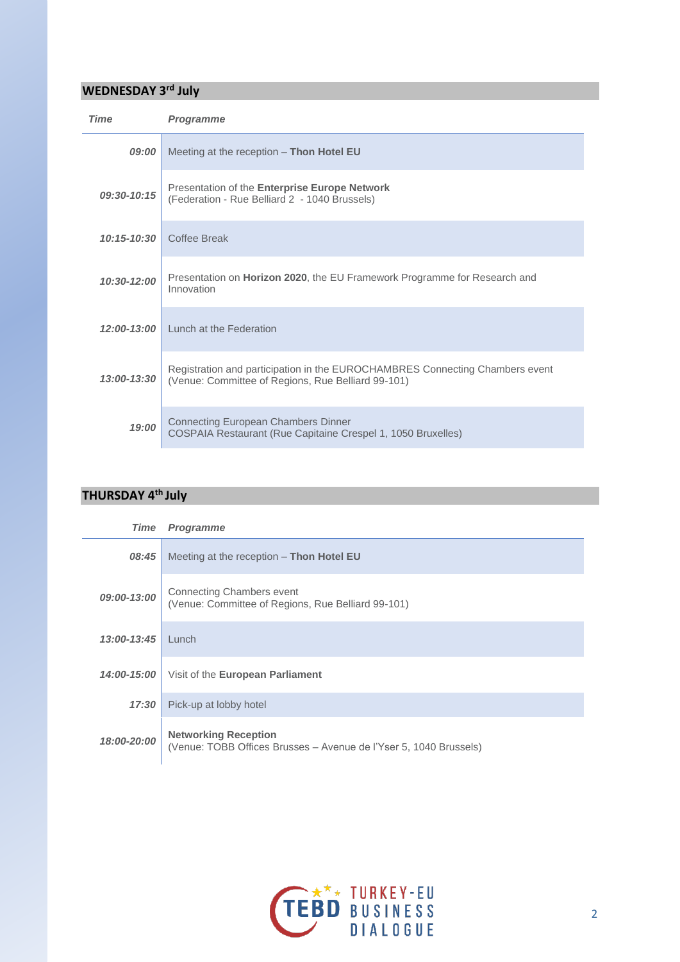## **WEDNESDAY 3rd July**

| <b>Time</b>     | <b>Programme</b>                                                                                                                   |
|-----------------|------------------------------------------------------------------------------------------------------------------------------------|
| 09:00           | Meeting at the reception $-$ Thon Hotel EU                                                                                         |
| $09:30-10:15$   | Presentation of the Enterprise Europe Network<br>(Federation - Rue Belliard 2 - 1040 Brussels)                                     |
| $10:15 - 10:30$ | Coffee Break                                                                                                                       |
| $10:30-12:00$   | Presentation on <b>Horizon 2020</b> , the EU Framework Programme for Research and<br>Innovation                                    |
| $12:00-13:00$   | Lunch at the Federation                                                                                                            |
| 13:00-13:30     | Registration and participation in the EUROCHAMBRES Connecting Chambers event<br>(Venue: Committee of Regions, Rue Belliard 99-101) |
| 19:00           | <b>Connecting European Chambers Dinner</b><br>COSPAIA Restaurant (Rue Capitaine Crespel 1, 1050 Bruxelles)                         |

## **THURSDAY 4th July**

| Time               | <b>Programme</b>                                                                                 |
|--------------------|--------------------------------------------------------------------------------------------------|
| 08:45              | Meeting at the reception - Thon Hotel EU                                                         |
| 09:00-13:00        | <b>Connecting Chambers event</b><br>(Venue: Committee of Regions, Rue Belliard 99-101)           |
| 13:00-13:45        | $L$ unch                                                                                         |
| <u>14:00-15:00</u> | Visit of the <b>European Parliament</b>                                                          |
| 17:30              | Pick-up at lobby hotel                                                                           |
| 18:00-20:00        | <b>Networking Reception</b><br>(Venue: TOBB Offices Brusses - Avenue de l'Yser 5, 1040 Brussels) |